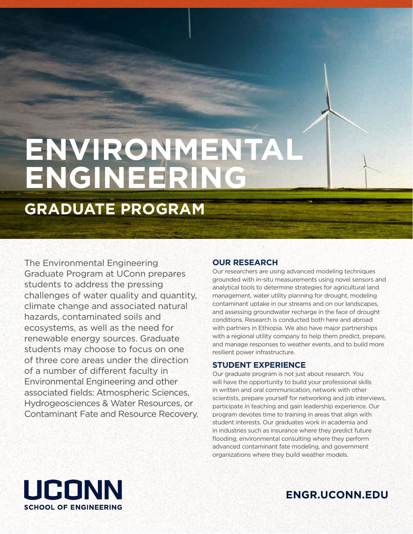# **ENVIRONMENTAL ENGINEERING**

# **GRADUATE PROGRAM**

The Environmental Engineering Graduate Program at UConn prepares students to address the pressing challenges of water quality and quantity, climate change and associated natural hazards, contaminated soils and ecosystems, as well as the need for renewable energy sources. Graduate students may choose to focus on one of three core areas under the direction of a number of different faculty in Environmental Engineering and other associated fields: Atmospheric Sciences, Hydrogeosciences & Water Resources, or Contaminant Fate and Resource Recovery.

# **OUR RESEARCH**

Our researchers are using advanced modeling techniques grounded with in-situ measurements using novel sensors and analytical tools to determine strategies for agricultural land management, water utility planning for drought, modeling contaminant uptake in our streams and on our landscapes, and assessing groundwater recharge in the face of drought conditions. Research is conducted both here and abroad with partners in Ethiopia. We also have major partnerships with a regional utility company to help them predict, prepare, and manage responses to weather events, and to build more resilient power infrastructure.

# **STUDENT EXPERIENCE**

Our graduate program is not just about research. You will have the opportunity to build your professional skills in written and oral communication, network with other scientists, prepare yourself for networking and job interviews, participate in teaching and gain leadership experience. Our program devotes time to training in areas that align with student interests. Our graduates work in academia and in industries such as insurance where they predict future flooding, environmental consulting where they perform advanced contaminant fate modeling, and government organizations where they build weather models.



**ENGR.UCONN.EDU**